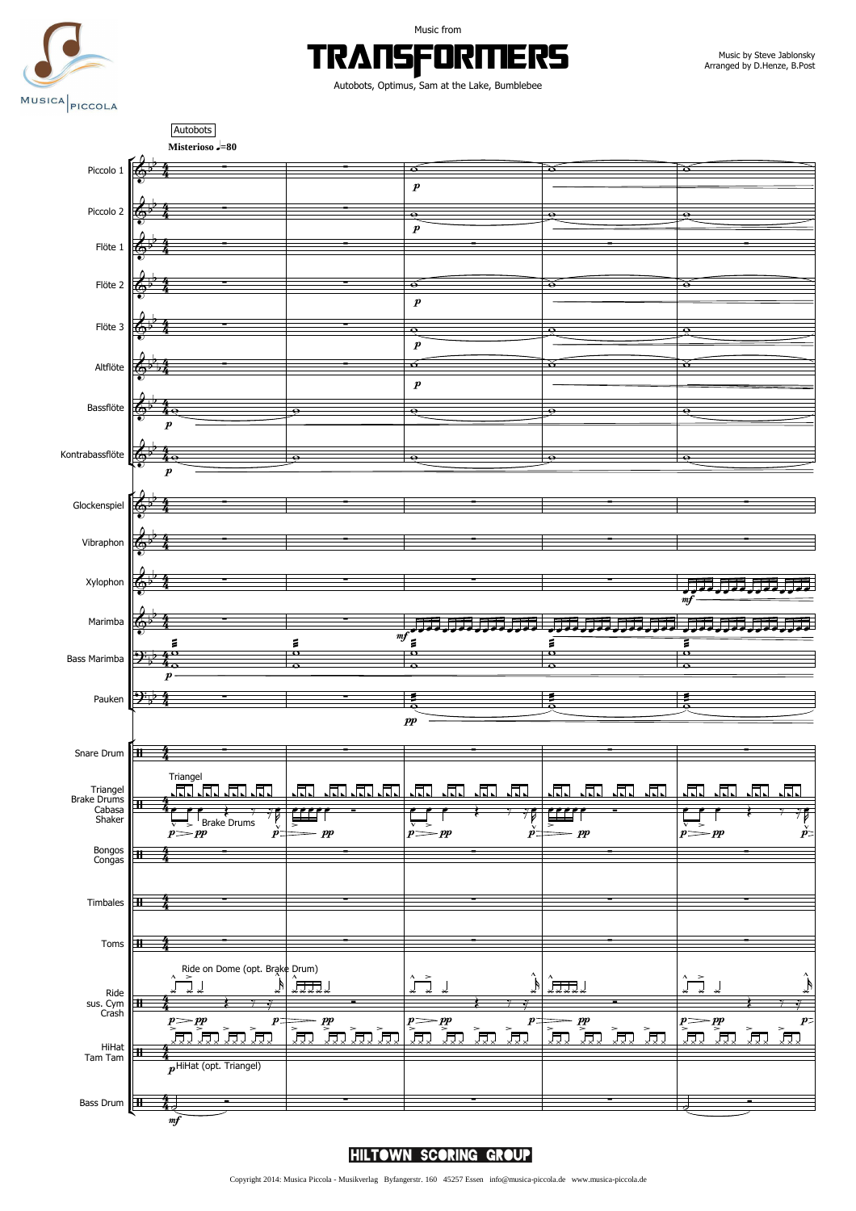

Music from



Music by Steve Jablonsky Arranged by D.Henze, B.Post

Autobots, Optimus, Sam at the Lake, Bumblebee

|                                             |               | Autobots<br>Misterioso - = 80                                    |                                  |                                                                                                                       |                            |                                                 |                                                                 |
|---------------------------------------------|---------------|------------------------------------------------------------------|----------------------------------|-----------------------------------------------------------------------------------------------------------------------|----------------------------|-------------------------------------------------|-----------------------------------------------------------------|
|                                             |               |                                                                  |                                  |                                                                                                                       |                            |                                                 |                                                                 |
| Piccolo 1                                   |               |                                                                  |                                  | $\bullet$<br>$\boldsymbol{p}$                                                                                         | Ő                          | Ő                                               |                                                                 |
|                                             |               |                                                                  |                                  |                                                                                                                       |                            |                                                 |                                                                 |
| Piccolo 2                                   |               |                                                                  |                                  | $\overline{\mathbf{e}}$                                                                                               | $\overline{\mathbf{e}}$    | $\overline{\mathbf{e}}$                         |                                                                 |
|                                             |               |                                                                  |                                  | $\boldsymbol{p}$                                                                                                      |                            |                                                 |                                                                 |
| Flöte 1                                     |               |                                                                  |                                  |                                                                                                                       |                            |                                                 |                                                                 |
|                                             |               |                                                                  |                                  | ᡩ                                                                                                                     | ङ                          | ङ                                               |                                                                 |
| Flöte 2                                     |               |                                                                  |                                  | $\boldsymbol{p}$                                                                                                      |                            |                                                 |                                                                 |
|                                             |               |                                                                  |                                  |                                                                                                                       |                            |                                                 |                                                                 |
| Flöte 3                                     |               |                                                                  |                                  | $\overline{\mathbf{e}}$                                                                                               | o                          | ÷                                               |                                                                 |
|                                             |               |                                                                  |                                  | $\boldsymbol{p}$                                                                                                      |                            |                                                 |                                                                 |
| Altflöte                                    |               |                                                                  |                                  | ó                                                                                                                     | ŏ                          | ক                                               |                                                                 |
|                                             |               |                                                                  |                                  | $\pmb{p}$                                                                                                             |                            |                                                 |                                                                 |
| Bassflöte                                   |               |                                                                  | $\overline{\bullet}$             | $\overline{\bullet}$                                                                                                  | $\overline{\bullet}$       | ø                                               |                                                                 |
|                                             |               |                                                                  |                                  |                                                                                                                       |                            |                                                 |                                                                 |
| Kontrabassflöte                             |               |                                                                  | $\overline{\cdot}$               | $\mathbf \Theta$                                                                                                      | $\bullet$                  | ө                                               |                                                                 |
|                                             |               | $\boldsymbol{p}$                                                 |                                  |                                                                                                                       |                            |                                                 |                                                                 |
|                                             |               |                                                                  |                                  |                                                                                                                       |                            |                                                 |                                                                 |
| Glockenspiel                                |               |                                                                  |                                  |                                                                                                                       |                            |                                                 |                                                                 |
|                                             |               |                                                                  |                                  |                                                                                                                       |                            |                                                 |                                                                 |
| Vibraphon                                   |               |                                                                  |                                  |                                                                                                                       |                            |                                                 |                                                                 |
|                                             |               |                                                                  |                                  |                                                                                                                       |                            |                                                 |                                                                 |
| Xylophon                                    |               |                                                                  |                                  |                                                                                                                       |                            |                                                 |                                                                 |
|                                             |               |                                                                  |                                  |                                                                                                                       |                            |                                                 |                                                                 |
| Marimba                                     |               |                                                                  |                                  |                                                                                                                       |                            |                                                 |                                                                 |
|                                             |               |                                                                  |                                  |                                                                                                                       |                            |                                                 |                                                                 |
|                                             |               |                                                                  | Ξ<br>$\mathbf o$                 | m <sub>i</sub><br>$\mathbf o$                                                                                         | Ξ                          |                                                 |                                                                 |
| Bass Marimba                                |               |                                                                  |                                  |                                                                                                                       | $\mathbf o$                | i<br>o                                          |                                                                 |
|                                             |               | $\boldsymbol{p}$                                                 |                                  |                                                                                                                       |                            |                                                 |                                                                 |
| Pauken                                      | $\mathcal{P}$ |                                                                  |                                  | ⊨                                                                                                                     | $\frac{2}{9}$              | on<br>O                                         |                                                                 |
|                                             |               |                                                                  |                                  | $\boldsymbol{pp}$                                                                                                     |                            |                                                 |                                                                 |
|                                             |               |                                                                  |                                  |                                                                                                                       |                            |                                                 |                                                                 |
| Snare Drum <b>HE</b>                        |               |                                                                  |                                  |                                                                                                                       |                            |                                                 |                                                                 |
|                                             |               | Triangel<br>$\overline{\Pi}$<br>$\sqrt{1}$<br>$\sqrt{1}$<br>ात्र |                                  |                                                                                                                       |                            |                                                 |                                                                 |
|                                             | ₩.            |                                                                  |                                  | <u>. 171 . 171 . 171 . 171 . 171 . 171 . 171 . 171 . 171 . 171 . 171 . 171 . 171 . 171 . 171 . 171 . 171 . 171 . </u> |                            | $\sqrt{11}$ $\sqrt{11}$ $\sqrt{11}$ $\sqrt{11}$ | $\sqrt{2}$                                                      |
| Triangel<br>Brake Drums<br>Cabasa<br>Shaker |               |                                                                  | <b>TT</b><br>71                  |                                                                                                                       | <b>TIME</b><br>79          |                                                 | 79                                                              |
|                                             |               | $\overrightarrow{p}$ Brake Drums                                 | $\sum_{\nu=1}^{N}$<br>$-$ pp     | $\sum_{p=-p}^{\infty}$                                                                                                | $\vec{p}$<br>$-$ pp        |                                                 | $\overline{p}$ = pp<br>$\dot{p}$                                |
| Bongos<br>Congas                            | ₩             |                                                                  |                                  |                                                                                                                       |                            |                                                 |                                                                 |
|                                             |               |                                                                  |                                  |                                                                                                                       |                            |                                                 |                                                                 |
| Timbales                                    | ᄑ             |                                                                  |                                  |                                                                                                                       |                            |                                                 |                                                                 |
|                                             |               |                                                                  |                                  |                                                                                                                       |                            |                                                 |                                                                 |
| <b>Toms</b>                                 | Œ             |                                                                  |                                  |                                                                                                                       |                            |                                                 |                                                                 |
|                                             |               |                                                                  |                                  |                                                                                                                       |                            |                                                 |                                                                 |
|                                             |               | Ride on Dome (opt. Brake Drum)<br>>                              | ᅕᅔᆇᆇᆇ<br>Ą,                      | $\sum_{k=1}^{n}$<br>$\hat{\downarrow}$                                                                                | $\Delta$<br>$\frac{1}{2}$  | ≥<br>ĵ                                          |                                                                 |
|                                             | ⊞             |                                                                  |                                  |                                                                                                                       | $\mathbf{v}$               |                                                 |                                                                 |
| Ride<br>sus. Cym<br>Crash                   |               | $p\geq p$                                                        | $p\pm$<br>$\mathbf{p}$           | $p\geq p$                                                                                                             | $p\exists$<br>$\mathbf{p}$ |                                                 | p                                                               |
|                                             |               | <u>、贾</u><br>烦<br>烦<br>Ų                                         | ,<br>一<br>Ju Ju<br>、<br>人人<br>人人 | ,<br>人<br>人<br>一<br>人                                                                                                 | ,<br>人<br>烦                | ,<br>见<br>一<br>人<br>、<br>人<br>人                 | $\frac{p}{\sqrt{N}}$ $\frac{pp}{\sqrt{N}}$<br>、<br>人<br>、<br>人人 |
| HiHat<br>Tam Tam                            | Ŧ             |                                                                  |                                  |                                                                                                                       |                            |                                                 |                                                                 |
|                                             |               | $p$ HiHat (opt. Triangel)                                        |                                  |                                                                                                                       |                            |                                                 |                                                                 |
| Bass Drum                                   |               | 40                                                               |                                  |                                                                                                                       |                            |                                                 |                                                                 |

HILTOWN SCORING GROUP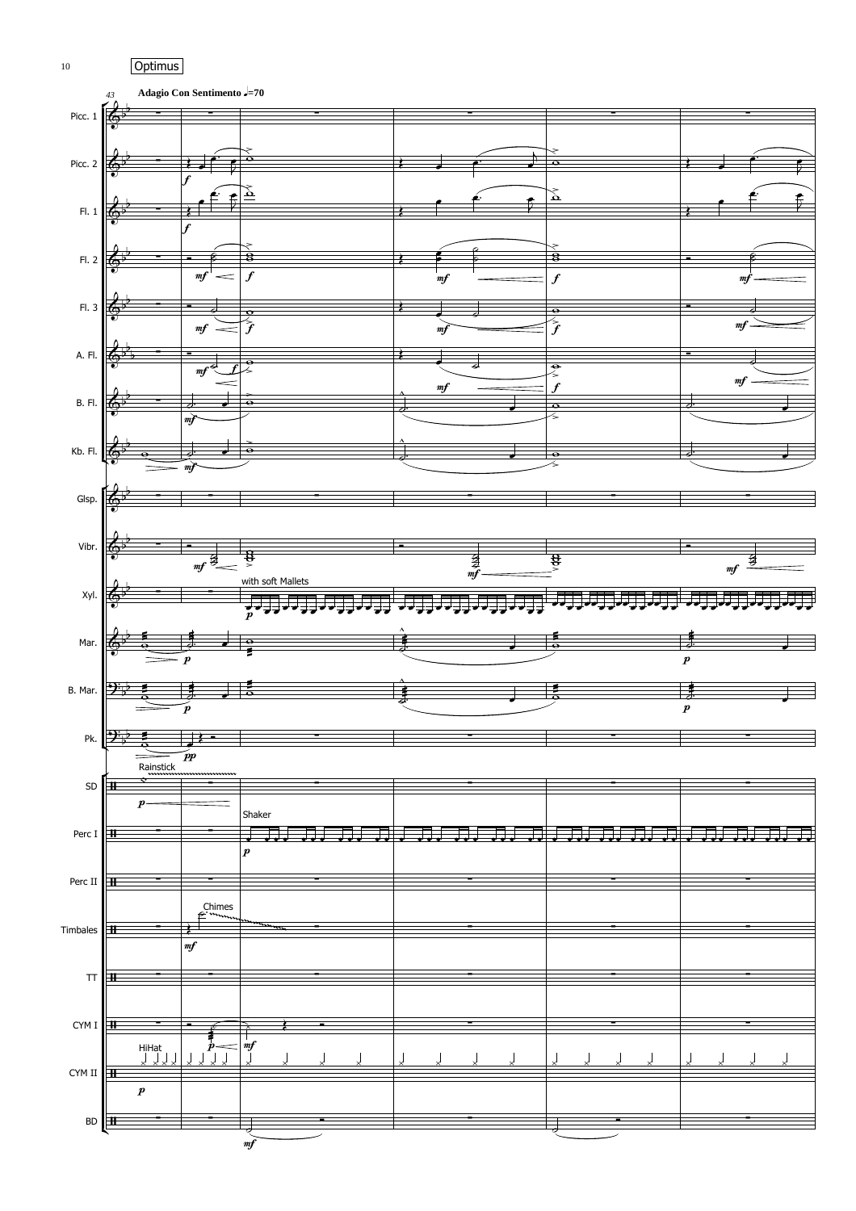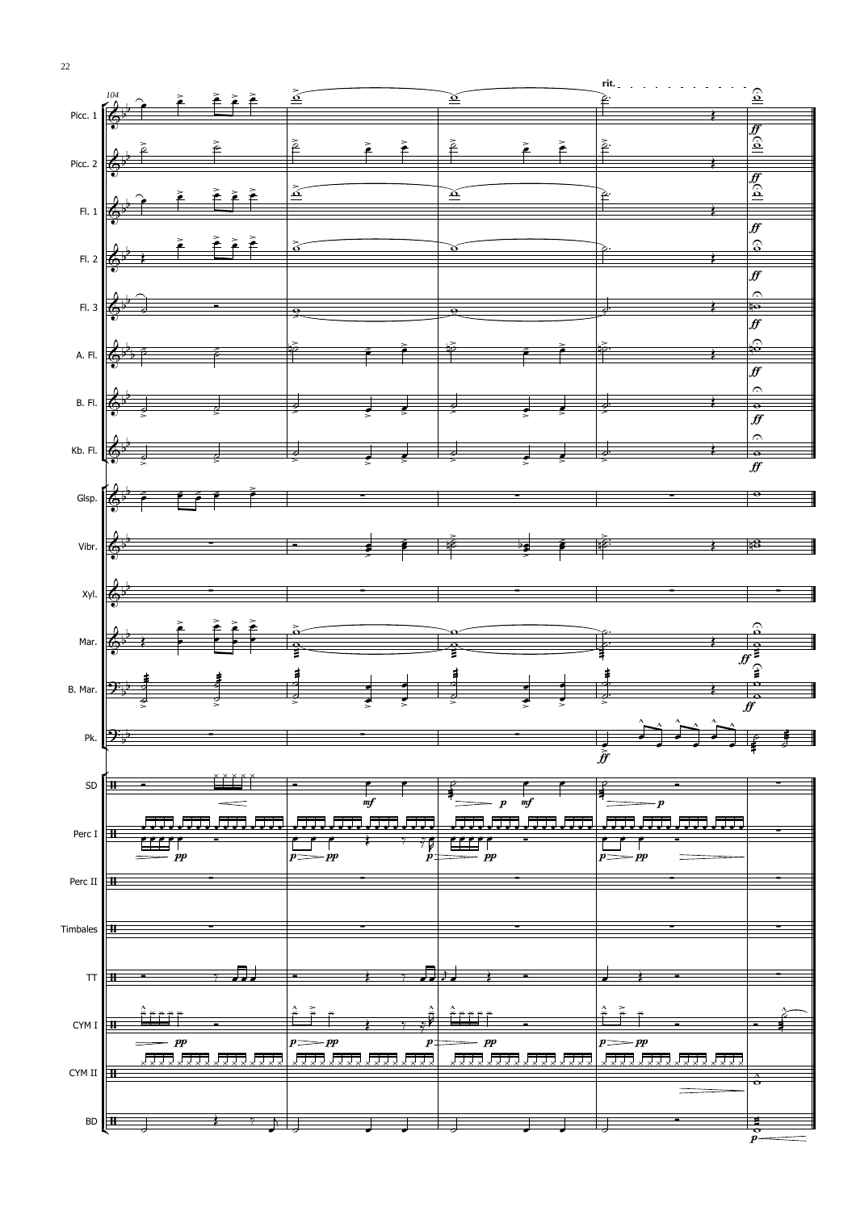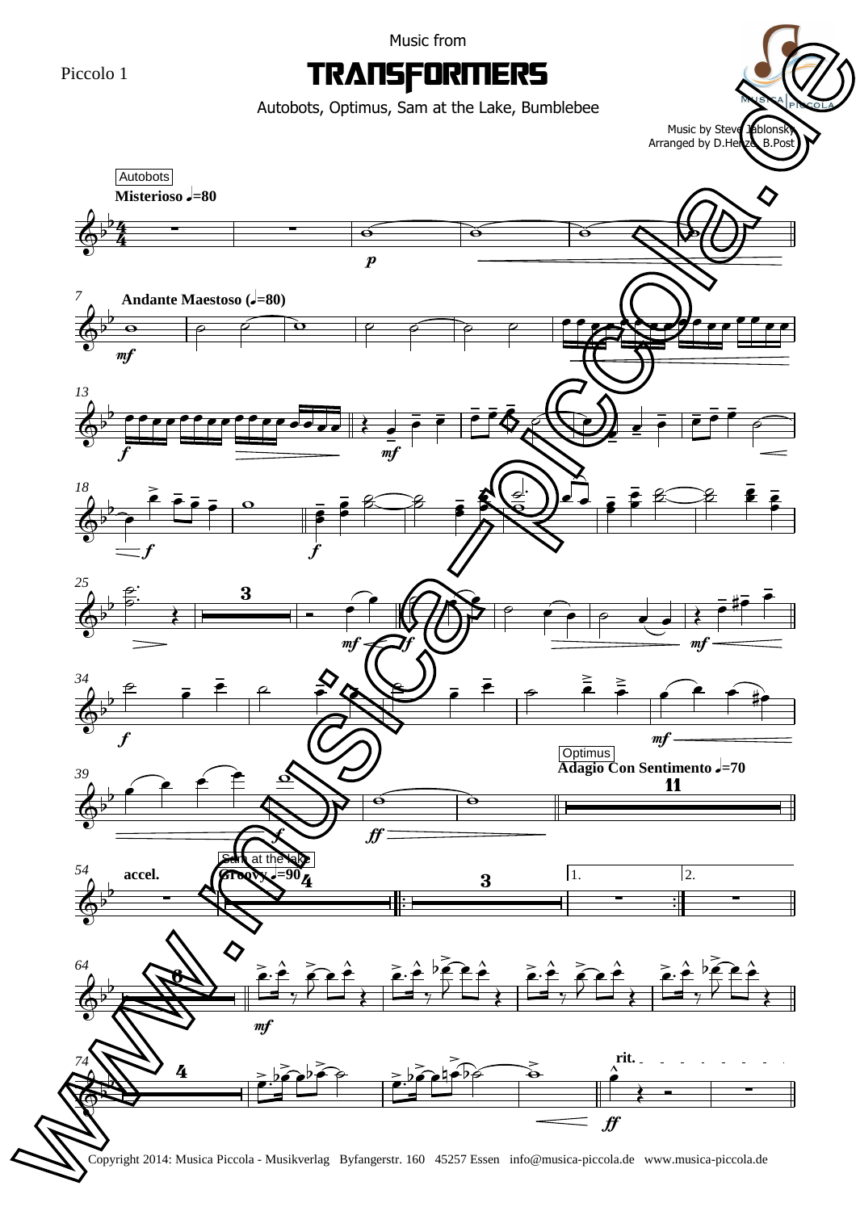Piccolo 1

Music from



Autobots, Optimus, Sam at the Lake, Bumblebee

Music by Steve Jablonsky



Copyright 2014: Musica Piccola - Musikverlag Byfangerstr. 160 45257 Essen info@musica-piccola.de www.musica-piccola.de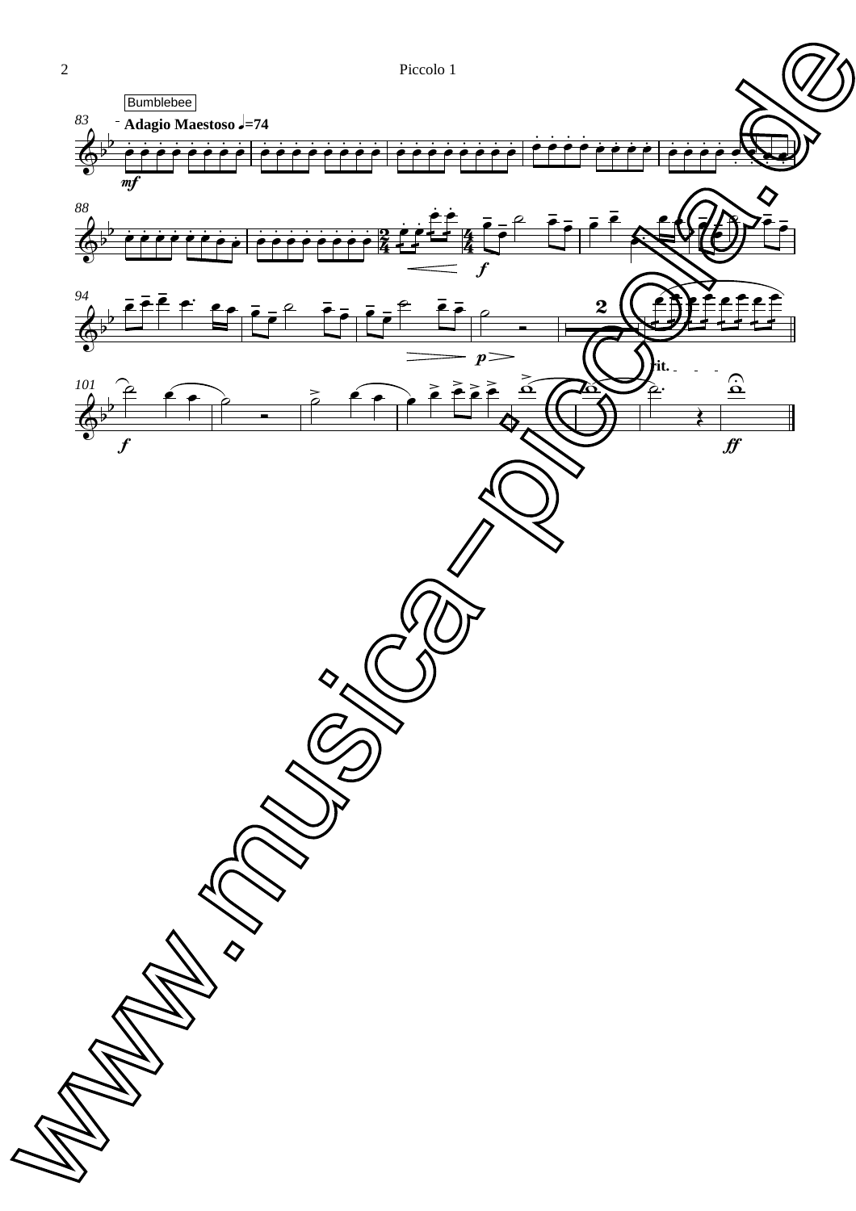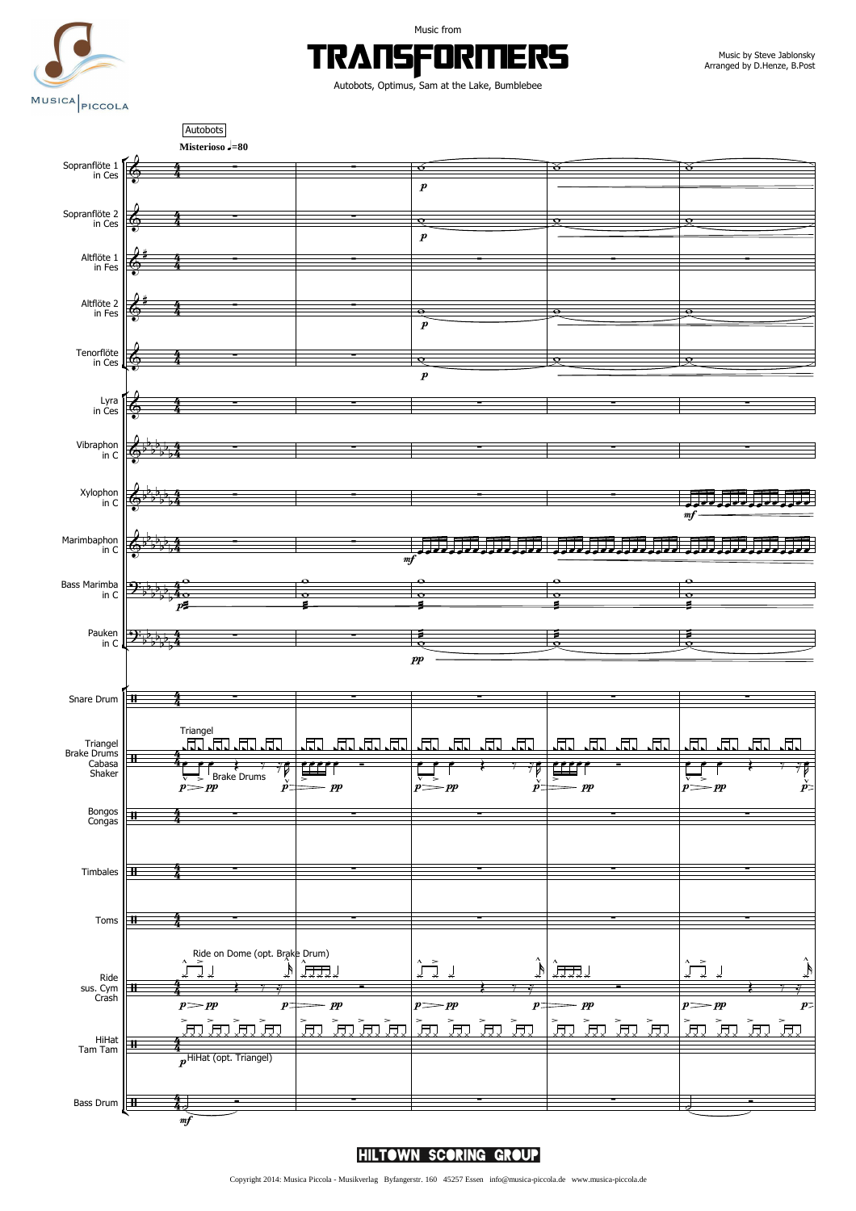

Music from

Music by Steve Jablonsky Arranged by D.Henze, B.Post

**Transformers** Autobots, Optimus, Sam at the Lake, Bumblebee

|                           |              | Autobots                                                 |                                       |                                                   |                                                       |                                                           |
|---------------------------|--------------|----------------------------------------------------------|---------------------------------------|---------------------------------------------------|-------------------------------------------------------|-----------------------------------------------------------|
|                           |              | Misterioso - = 80                                        |                                       |                                                   |                                                       |                                                           |
| Sopranflöte 1<br>in Ces   |              |                                                          |                                       | Ó                                                 | Ň                                                     | Ň                                                         |
|                           |              |                                                          |                                       | $\boldsymbol{p}$                                  |                                                       |                                                           |
|                           |              |                                                          |                                       |                                                   |                                                       |                                                           |
| Sopranflöte 2<br>in Ces   |              |                                                          |                                       | $\overline{\mathbf{Q}}$                           | Q                                                     | $\overline{\mathbf{Q}}$                                   |
|                           |              |                                                          |                                       | $\boldsymbol{p}$                                  |                                                       |                                                           |
|                           |              |                                                          |                                       |                                                   |                                                       |                                                           |
| Altflöte 1<br>in Fes      |              |                                                          |                                       |                                                   |                                                       |                                                           |
|                           |              |                                                          |                                       |                                                   |                                                       |                                                           |
|                           |              |                                                          |                                       |                                                   |                                                       |                                                           |
| Altflöte 2<br>in Fes      |              |                                                          |                                       | $\overline{\bullet}$                              | $\overline{\bullet}$                                  | $\overline{\bullet}$                                      |
|                           |              |                                                          |                                       | $\boldsymbol{p}$                                  |                                                       |                                                           |
|                           |              |                                                          |                                       |                                                   |                                                       |                                                           |
| Tenorflöte<br>in Ces      |              |                                                          |                                       | $\overline{\mathbf{Q}}$                           | ö                                                     | $\mathbf{o}$                                              |
|                           |              |                                                          |                                       | $\boldsymbol{p}$                                  |                                                       |                                                           |
|                           |              |                                                          |                                       |                                                   |                                                       |                                                           |
| Lyra<br>in Ces            |              |                                                          |                                       |                                                   |                                                       |                                                           |
|                           |              |                                                          |                                       |                                                   |                                                       |                                                           |
|                           |              |                                                          |                                       |                                                   |                                                       |                                                           |
| Vibraphon<br>in C         |              |                                                          |                                       |                                                   |                                                       |                                                           |
|                           |              |                                                          |                                       |                                                   |                                                       |                                                           |
|                           |              |                                                          |                                       |                                                   |                                                       |                                                           |
| Xylophon<br>in C          |              |                                                          |                                       |                                                   |                                                       |                                                           |
|                           |              |                                                          |                                       |                                                   |                                                       | mf                                                        |
|                           |              |                                                          |                                       |                                                   |                                                       |                                                           |
| Marimbaphon<br>in C       |              |                                                          |                                       |                                                   |                                                       |                                                           |
|                           |              |                                                          | $\overline{mf}$                       |                                                   |                                                       |                                                           |
|                           |              |                                                          |                                       |                                                   |                                                       |                                                           |
| Bass Marimba<br>in C      |              |                                                          | $\overline{\mathbf{c}}$               | $\frac{1}{\overline{\mathbf{q}}}% \mathbf{r}_{i}$ | $\frac{1}{\overline{\mathbf{Q}}}$                     |                                                           |
|                           |              | p5                                                       |                                       |                                                   |                                                       |                                                           |
|                           |              |                                                          |                                       |                                                   |                                                       |                                                           |
|                           |              |                                                          |                                       |                                                   |                                                       |                                                           |
|                           |              |                                                          |                                       |                                                   |                                                       |                                                           |
| Pauken<br>in C            |              |                                                          |                                       | ā                                                 | 훎                                                     |                                                           |
|                           |              |                                                          |                                       | $\boldsymbol{pp}$                                 |                                                       |                                                           |
|                           |              |                                                          |                                       |                                                   |                                                       |                                                           |
|                           |              |                                                          |                                       |                                                   |                                                       |                                                           |
| Snare Drum                | $\bf{H}$     |                                                          |                                       |                                                   |                                                       |                                                           |
|                           |              |                                                          |                                       |                                                   |                                                       |                                                           |
|                           |              | Triangel                                                 |                                       |                                                   |                                                       |                                                           |
| Triangel<br>Brake Drums   | $\mathbf{H}$ | $\Box$<br>$\sqrt{1}$<br>$\Box$<br>$\sqrt{1}$             | <u>in in in in in in</u>              | $\sqrt{14}$                                       | $\sqrt{11}$ $\sqrt{11}$<br>$\sqrt{14}$ $\sqrt{14}$    | $\sqrt{11}$ $\sqrt{11}$<br>氙<br>二、                        |
| Cabasa<br>Shaker          |              | •∙<br>Ϋ́Ω                                                |                                       | $\sim$ $\sim$ $\sim$<br>₹                         | <u></u><br>∛ਸ਼ਿ                                       | $\epsilon$ , $\epsilon$<br>$\rightarrow$                  |
|                           |              | $\overrightarrow{p}$ Brake Drums<br>$\overrightarrow{p}$ | $\sum_{i=1}^{N}$<br>$\boldsymbol{pp}$ |                                                   | $\check{p}$ =<br>- pp                                 | $\frac{\partial \phi}{\partial p}$<br>$\overline{p}$ = pp |
|                           |              |                                                          |                                       | $\sum_{p=-pp}$                                    |                                                       |                                                           |
|                           | Œ            |                                                          |                                       |                                                   |                                                       |                                                           |
| Bongos<br>Congas          |              |                                                          |                                       |                                                   |                                                       |                                                           |
|                           |              |                                                          |                                       |                                                   |                                                       |                                                           |
|                           |              |                                                          |                                       |                                                   |                                                       |                                                           |
| Timbales                  | 田            |                                                          |                                       |                                                   |                                                       |                                                           |
|                           |              |                                                          |                                       |                                                   |                                                       |                                                           |
|                           |              |                                                          |                                       |                                                   |                                                       |                                                           |
| Toms                      | H            |                                                          |                                       |                                                   |                                                       |                                                           |
|                           |              |                                                          |                                       |                                                   |                                                       |                                                           |
|                           |              | Ride on Dome (opt. Brake Drum)<br>$\geq$                 |                                       |                                                   |                                                       |                                                           |
|                           |              | ل ل                                                      | <b>AXXX</b>                           | $\overleftrightarrow{=}$                          | $\overline{X}$                                        | $\overleftrightarrow{=}$ $\downarrow$                     |
|                           | 田            |                                                          |                                       |                                                   |                                                       |                                                           |
| Ride<br>sus. Cym<br>Crash |              | $p\!\!\gg\!\!p$                                          | $p\pm$<br>$-$ pp                      | $p \equiv p$                                      | $p=$<br>- pp                                          | $p = pp$<br>p                                             |
|                           |              |                                                          |                                       |                                                   |                                                       |                                                           |
|                           |              | 、<br>一、<br>「<br><u>रेंग्र ग्रेग्र</u>                    | <u>in nin</u><br>,<br>一               | 、<br>观<br>、<br>人人<br>ÎIJ<br>ĴŢ                    | ्रेज्ञ<br>、<br>人人<br>يدًا<br>$\overline{\mathcal{F}}$ | 、<br>人<br>$\tilde{\vec{J}}$<br><u>Ju</u><br>烦             |
| HiHat<br>Tam Tam          | $\mathbf{H}$ |                                                          |                                       |                                                   |                                                       |                                                           |
|                           |              | $p$ HiHat (opt. Triangel)                                |                                       |                                                   |                                                       |                                                           |
|                           |              |                                                          |                                       |                                                   |                                                       |                                                           |
|                           |              |                                                          |                                       |                                                   |                                                       |                                                           |
| Bass Drum                 | I⊞E          | m f                                                      |                                       |                                                   |                                                       |                                                           |

## HILTOWN SCORING GROUP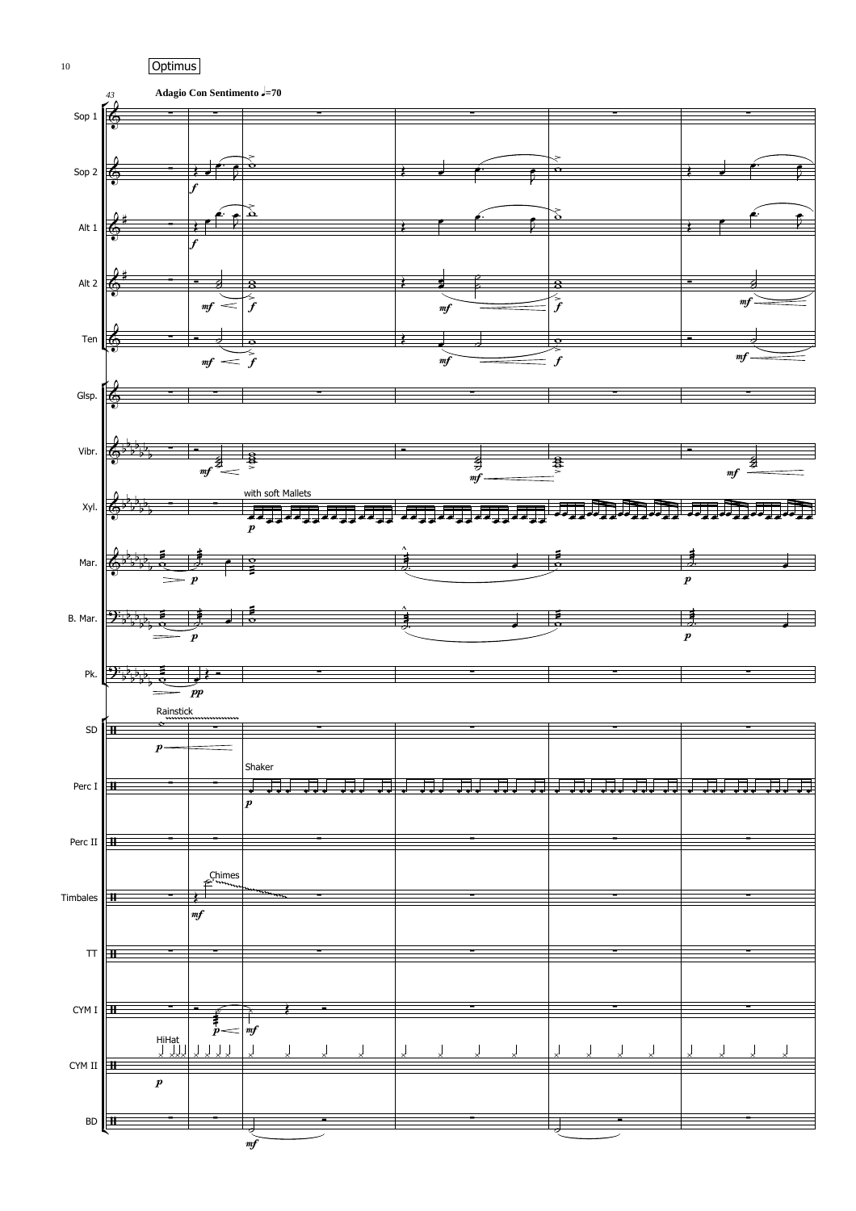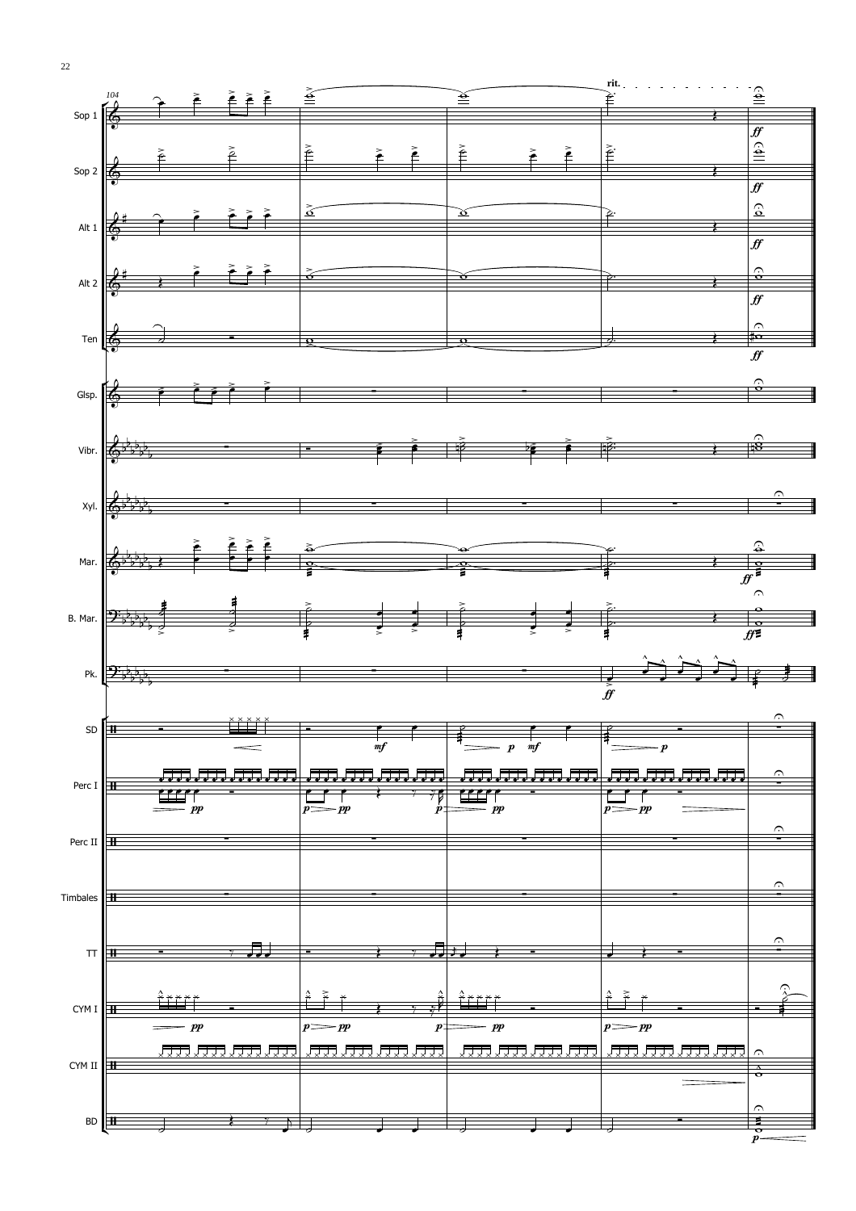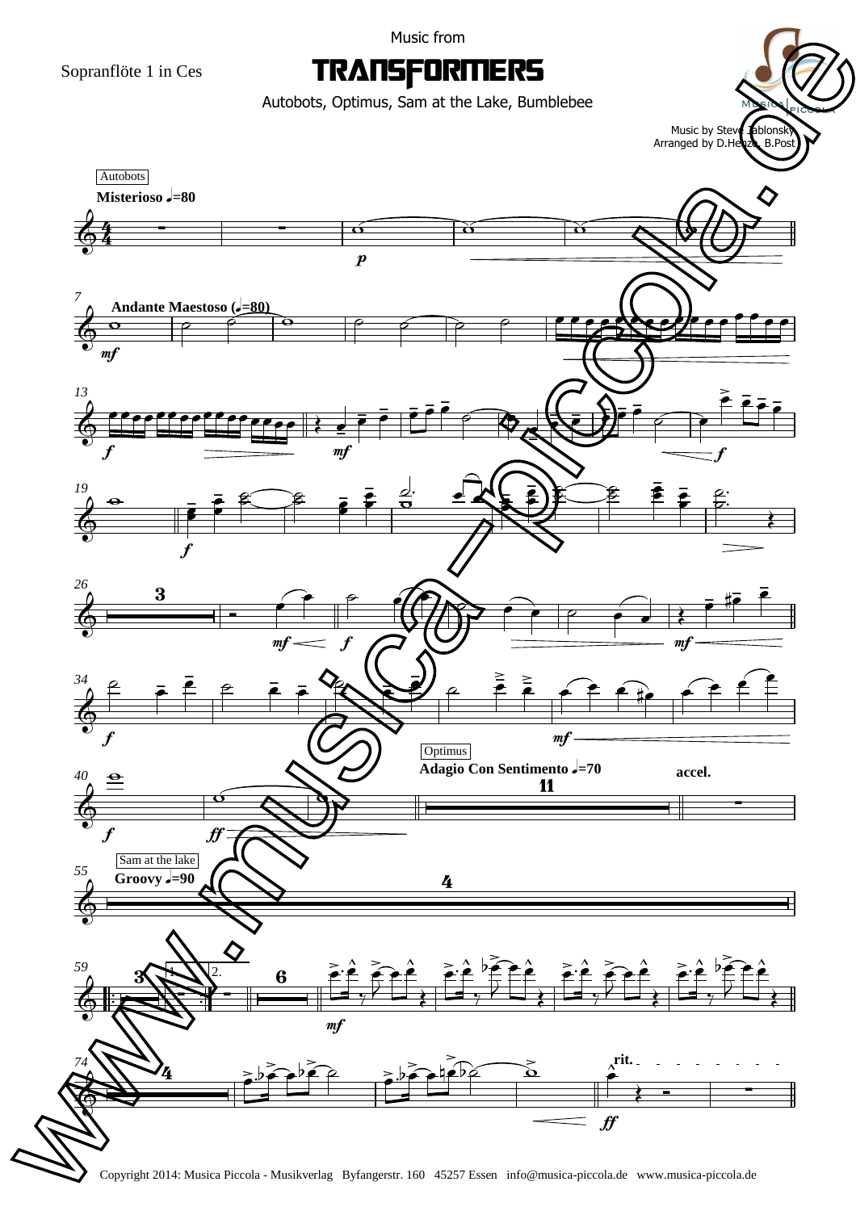Music from

Sopranflöte 1 in Ces

## **Transformers**

Autobots, Optimus, Sam at the Lake, Bumblebee

Music by Steve Jablonsky



Copyright 2014: Musica Piccola - Musikverlag Byfangerstr. 160 45257 Essen info@musica-piccola.de www.musica-piccola.de